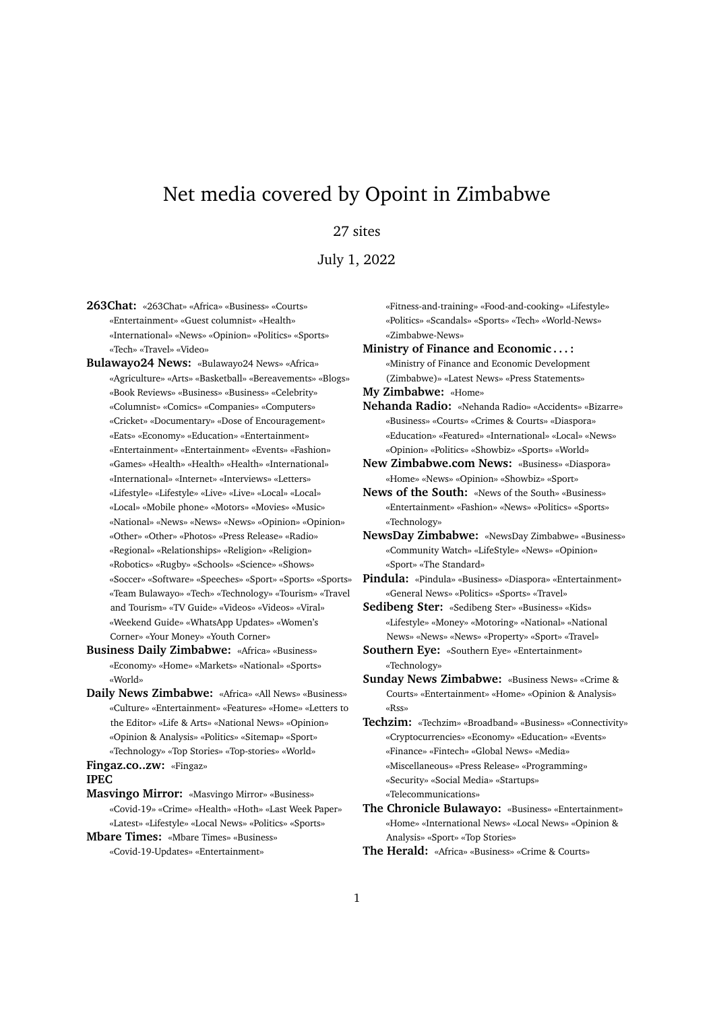## Net media covered by Opoint in Zimbabwe

## 27 sites

## July 1, 2022

- **263Chat:** «263Chat» «Africa» «Business» «Courts» «Entertainment» «Guest columnist» «Health» «International» «News» «Opinion» «Politics» «Sports» «Tech» «Travel» «Video»
- **Bulawayo24 News:** «Bulawayo24 News» «Africa» «Agriculture» «Arts» «Basketball» «Bereavements» «Blogs» «Book Reviews» «Business» «Business» «Celebrity» «Columnist» «Comics» «Companies» «Computers» «Cricket» «Documentary» «Dose of Encouragement» «Eats» «Economy» «Education» «Entertainment» «Entertainment» «Entertainment» «Events» «Fashion» «Games» «Health» «Health» «Health» «International» «International» «Internet» «Interviews» «Letters» «Lifestyle» «Lifestyle» «Live» «Live» «Local» «Local» «Local» «Mobile phone» «Motors» «Movies» «Music» «National» «News» «News» «News» «Opinion» «Opinion» «Other» «Other» «Photos» «Press Release» «Radio» «Regional» «Relationships» «Religion» «Religion» «Robotics» «Rugby» «Schools» «Science» «Shows» «Soccer» «Software» «Speeches» «Sport» «Sports» «Sports» «Team Bulawayo» «Tech» «Technology» «Tourism» «Travel and Tourism» «TV Guide» «Videos» «Videos» «Viral» «Weekend Guide» «WhatsApp Updates» «Women's Corner» «Your Money» «Youth Corner»
- **Business Daily Zimbabwe:** «Africa» «Business» «Economy» «Home» «Markets» «National» «Sports» «World»
- **Daily News Zimbabwe:** «Africa» «All News» «Business» «Culture» «Entertainment» «Features» «Home» «Letters to the Editor» «Life & Arts» «National News» «Opinion» «Opinion & Analysis» «Politics» «Sitemap» «Sport» «Technology» «Top Stories» «Top-stories» «World»

**Fingaz.co..zw:** «Fingaz»

**IPEC**

**Masvingo Mirror:** «Masvingo Mirror» «Business» «Covid-19» «Crime» «Health» «Hoth» «Last Week Paper» «Latest» «Lifestyle» «Local News» «Politics» «Sports»

```
Mbare Times: «Mbare Times» «Business»
«Covid-19-Updates» «Entertainment»
```
«Fitness-and-training» «Food-and-cooking» «Lifestyle» «Politics» «Scandals» «Sports» «Tech» «World-News» «Zimbabwe-News» **Ministry of Finance and Economic . . . :**

«Ministry of Finance and Economic Development (Zimbabwe)» «Latest News» «Press Statements»

- **My Zimbabwe:** «Home»
- **Nehanda Radio:** «Nehanda Radio» «Accidents» «Bizarre» «Business» «Courts» «Crimes & Courts» «Diaspora» «Education» «Featured» «International» «Local» «News» «Opinion» «Politics» «Showbiz» «Sports» «World»

**New Zimbabwe.com News:** «Business» «Diaspora» «Home» «News» «Opinion» «Showbiz» «Sport»

- **News of the South:** «News of the South» «Business» «Entertainment» «Fashion» «News» «Politics» «Sports» «Technology»
- **NewsDay Zimbabwe:** «NewsDay Zimbabwe» «Business» «Community Watch» «LifeStyle» «News» «Opinion» «Sport» «The Standard»
- **Pindula:** «Pindula» «Business» «Diaspora» «Entertainment» «General News» «Politics» «Sports» «Travel»
- **Sedibeng Ster:** «Sedibeng Ster» «Business» «Kids» «Lifestyle» «Money» «Motoring» «National» «National News» «News» «News» «Property» «Sport» «Travel»

**Southern Eye:** «Southern Eye» «Entertainment» «Technology»

- **Sunday News Zimbabwe:** «Business News» «Crime & Courts» «Entertainment» «Home» «Opinion & Analysis» «Rss»
- **Techzim:** «Techzim» «Broadband» «Business» «Connectivity» «Cryptocurrencies» «Economy» «Education» «Events» «Finance» «Fintech» «Global News» «Media» «Miscellaneous» «Press Release» «Programming» «Security» «Social Media» «Startups» «Telecommunications»
- **The Chronicle Bulawayo:** «Business» «Entertainment» «Home» «International News» «Local News» «Opinion & Analysis» «Sport» «Top Stories»
- **The Herald:** «Africa» «Business» «Crime & Courts»